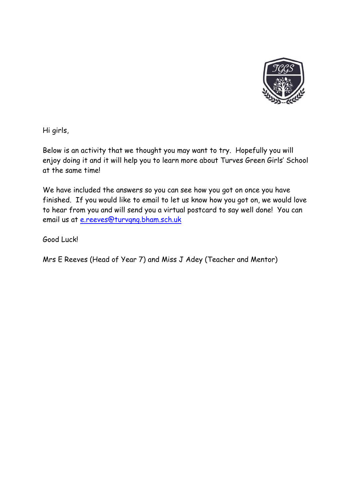

Hi girls,

Below is an activity that we thought you may want to try. Hopefully you will enjoy doing it and it will help you to learn more about Turves Green Girls' School at the same time!

We have included the answers so you can see how you got on once you have finished. If you would like to email to let us know how you got on, we would love to hear from you and will send you a virtual postcard to say well done! You can email us at [e.reeves@turvgng.bham.sch.uk](mailto:e.reeves@turvgng.bham.sch.uk)

Good Luck!

Mrs E Reeves (Head of Year 7) and Miss J Adey (Teacher and Mentor)